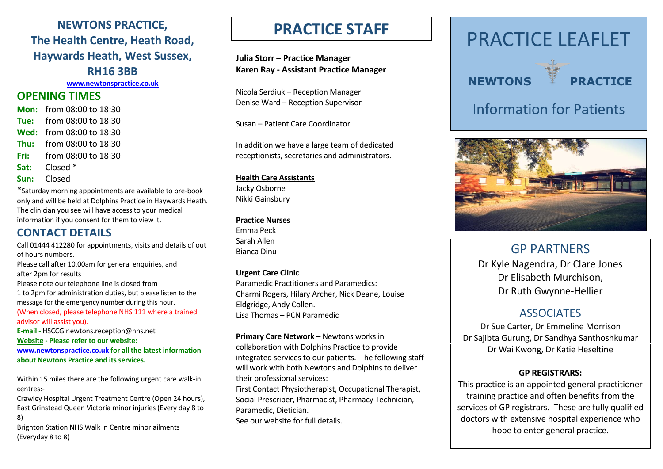### **NEWTONS PRACTICE, The Health Centre, Heath Road, Haywards Heath, West Sussex, RH16 3BB**

**[www.newtonspractice.co.uk](http://www.newtonspractice.co.uk/)**

### **OPENING TIMES**

- **Mon:** from 08:00 to 18:30 **Tue:** from 08:00 to 18:30 **Wed:** from 08:00 to 18:30 **Thu:** from 08:00 to 18:30 **Fri:** from 08:00 to 18:30 **Sat:** Closed \*
- **Sun:** Closed

\*Saturday morning appointments are available to pre-book only and will be held at Dolphins Practice in Haywards Heath. The clinician you see will have access to your medical information if you consent for them to view it.

### **CONTACT DETAILS**

Call 01444 412280 for appointments, visits and details of out of hours numbers. Please call after 10.00am for general enquiries, and after 2pm for results Please note our telephone line is closed from 1 to 2pm for administration duties, but please listen to the message for the emergency number during this hour. (When closed, please telephone NHS 111 where a trained advisor will assist you). **E-mail -** HSCCG.newtons.reception@nhs.net **Website - Please refer to our website: [www.newtonspractice.co.uk](http://www.newtonspractice.co.uk/) for all the latest information about Newtons Practice and its services.**

Within 15 miles there are the following urgent care walk-in centres:-

Crawley Hospital Urgent Treatment Centre (Open 24 hours), East Grinstead Queen Victoria minor injuries (Every day 8 to 8)

Brighton Station NHS Walk in Centre minor ailments (Everyday 8 to 8)

## **PRACTICE STAFF**

**Julia Storr – Practice Manager Karen Ray - Assistant Practice Manager**

Nicola Serdiuk – Reception Manager Denise Ward – Reception Supervisor

Susan – Patient Care Coordinator

In addition we have a large team of dedicated receptionists, secretaries and administrators.

#### **Health Care Assistants**

Jacky Osborne Nikki Gainsbury

### **Practice Nurses**

Emma Peck Sarah Allen Bianca Dinu

#### **Urgent Care Clinic**

Paramedic Practitioners and Paramedics: Charmi Rogers, Hilary Archer, Nick Deane, Louise Eldgridge, Andy Collen. Lisa Thomas – PCN Paramedic

**Primary Care Network** – Newtons works in collaboration with Dolphins Practice to provide integrated services to our patients. The following staff will work with both Newtons and Dolphins to deliver their professional services:

First Contact Physiotherapist, Occupational Therapist, Social Prescriber, Pharmacist, Pharmacy Technician, Paramedic, Dietician. See our website for full details.







## Information for Patients



## GP PARTNERS

Dr Kyle Nagendra, Dr Clare Jones Dr Elisabeth Murchison, Dr Ruth Gwynne-Hellier

### **ASSOCIATES**

Dr Sue Carter, Dr Emmeline Morrison Dr Sajibta Gurung, Dr Sandhya Santhoshkumar Dr Wai Kwong, Dr Katie Heseltine

### **GP REGISTRARS:**

This practice is an appointed general practitioner training practice and often benefits from the services of GP registrars. These are fully qualified doctors with extensive hospital experience who hope to enter general practice.